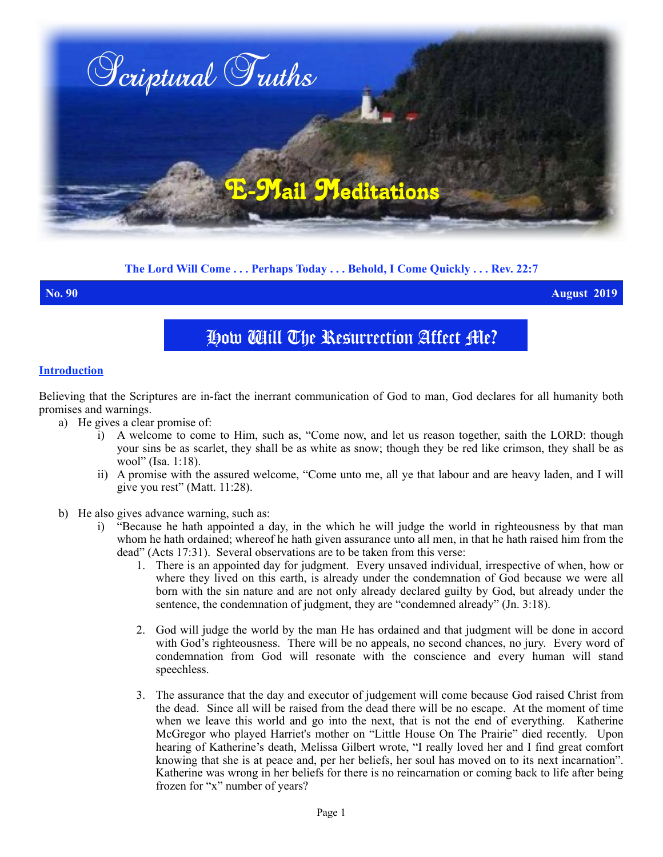

# **The Lord Will Come . . . Perhaps Today . . . Behold, I Come Quickly . . . Rev. 22:7**

**No. 90 August 2019**

# How Will The Resurrection Affect Me?

# **Introduction**

Believing that the Scriptures are in-fact the inerrant communication of God to man, God declares for all humanity both promises and warnings.

- a) He gives a clear promise of:
	- i) A welcome to come to Him, such as, "Come now, and let us reason together, saith the LORD: though your sins be as scarlet, they shall be as white as snow; though they be red like crimson, they shall be as wool" (Isa. 1:18).
	- ii) A promise with the assured welcome, "Come unto me, all ye that labour and are heavy laden, and I will give you rest" (Matt. 11:28).
- b) He also gives advance warning, such as:
	- i) "Because he hath appointed a day, in the which he will judge the world in righteousness by that man whom he hath ordained; whereof he hath given assurance unto all men, in that he hath raised him from the dead" (Acts 17:31). Several observations are to be taken from this verse:
		- 1. There is an appointed day for judgment. Every unsaved individual, irrespective of when, how or where they lived on this earth, is already under the condemnation of God because we were all born with the sin nature and are not only already declared guilty by God, but already under the sentence, the condemnation of judgment, they are "condemned already" (Jn. 3:18).
		- 2. God will judge the world by the man He has ordained and that judgment will be done in accord with God's righteousness. There will be no appeals, no second chances, no jury. Every word of condemnation from God will resonate with the conscience and every human will stand speechless.
		- 3. The assurance that the day and executor of judgement will come because God raised Christ from the dead. Since all will be raised from the dead there will be no escape. At the moment of time when we leave this world and go into the next, that is not the end of everything. Katherine McGregor who played Harriet's mother on "Little House On The Prairie" died recently. Upon hearing of Katherine's death, Melissa Gilbert wrote, "I really loved her and I find great comfort knowing that she is at peace and, per her beliefs, her soul has moved on to its next incarnation". Katherine was wrong in her beliefs for there is no reincarnation or coming back to life after being frozen for "x" number of years?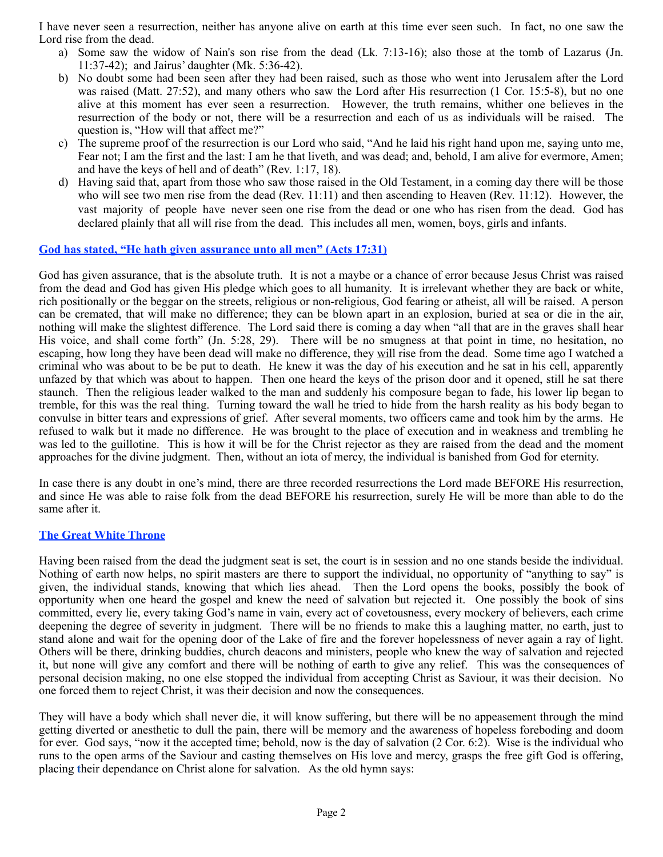I have never seen a resurrection, neither has anyone alive on earth at this time ever seen such. In fact, no one saw the Lord rise from the dead.

- a) Some saw the widow of Nain's son rise from the dead (Lk. 7:13-16); also those at the tomb of Lazarus (Jn. 11:37-42); and Jairus' daughter (Mk. 5:36-42).
- b) No doubt some had been seen after they had been raised, such as those who went into Jerusalem after the Lord was raised (Matt. 27:52), and many others who saw the Lord after His resurrection (1 Cor. 15:5-8), but no one alive at this moment has ever seen a resurrection. However, the truth remains, whither one believes in the resurrection of the body or not, there will be a resurrection and each of us as individuals will be raised. The question is, "How will that affect me?"
- c) The supreme proof of the resurrection is our Lord who said, "And he laid his right hand upon me, saying unto me, Fear not; I am the first and the last: I am he that liveth, and was dead; and, behold, I am alive for evermore, Amen; and have the keys of hell and of death" (Rev. 1:17, 18).
- d) Having said that, apart from those who saw those raised in the Old Testament, in a coming day there will be those who will see two men rise from the dead (Rev. 11:11) and then ascending to Heaven (Rev. 11:12).However, the vast majority of people have never seen one rise from the dead or one who has risen from the dead. God has declared plainly that all will rise from the dead. This includes all men, women, boys, girls and infants.

### **God has stated, "He hath given assurance unto all men" (Acts 17:31)**

God has given assurance, that is the absolute truth. It is not a maybe or a chance of error because Jesus Christ was raised from the dead and God has given His pledge which goes to all humanity. It is irrelevant whether they are back or white, rich positionally or the beggar on the streets, religious or non-religious, God fearing or atheist, all will be raised. A person can be cremated, that will make no difference; they can be blown apart in an explosion, buried at sea or die in the air, nothing will make the slightest difference. The Lord said there is coming a day when "all that are in the graves shall hear His voice, and shall come forth" (Jn. 5:28, 29). There will be no smugness at that point in time, no hesitation, no escaping, how long they have been dead will make no difference, they will rise from the dead. Some time ago I watched a criminal who was about to be be put to death. He knew it was the day of his execution and he sat in his cell, apparently unfazed by that which was about to happen. Then one heard the keys of the prison door and it opened, still he sat there staunch. Then the religious leader walked to the man and suddenly his composure began to fade, his lower lip began to tremble, for this was the real thing. Turning toward the wall he tried to hide from the harsh reality as his body began to convulse in bitter tears and expressions of grief. After several moments, two officers came and took him by the arms. He refused to walk but it made no difference. He was brought to the place of execution and in weakness and trembling he was led to the guillotine. This is how it will be for the Christ rejector as they are raised from the dead and the moment approaches for the divine judgment. Then, without an iota of mercy, the individual is banished from God for eternity.

In case there is any doubt in one's mind, there are three recorded resurrections the Lord made BEFORE His resurrection, and since He was able to raise folk from the dead BEFORE his resurrection, surely He will be more than able to do the same after it.

## **The Great White Throne**

Having been raised from the dead the judgment seat is set, the court is in session and no one stands beside the individual. Nothing of earth now helps, no spirit masters are there to support the individual, no opportunity of "anything to say" is given, the individual stands, knowing that which lies ahead. Then the Lord opens the books, possibly the book of opportunity when one heard the gospel and knew the need of salvation but rejected it. One possibly the book of sins committed, every lie, every taking God's name in vain, every act of covetousness, every mockery of believers, each crime deepening the degree of severity in judgment. There will be no friends to make this a laughing matter, no earth, just to stand alone and wait for the opening door of the Lake of fire and the forever hopelessness of never again a ray of light. Others will be there, drinking buddies, church deacons and ministers, people who knew the way of salvation and rejected it, but none will give any comfort and there will be nothing of earth to give any relief. This was the consequences of personal decision making, no one else stopped the individual from accepting Christ as Saviour, it was their decision. No one forced them to reject Christ, it was their decision and now the consequences.

They will have a body which shall never die, it will know suffering, but there will be no appeasement through the mind getting diverted or anesthetic to dull the pain, there will be memory and the awareness of hopeless foreboding and doom for ever. God says, "now it the accepted time; behold, now is the day of salvation (2 Cor. 6:2). Wise is the individual who runs to the open arms of the Saviour and casting themselves on His love and mercy, grasps the free gift God is offering, placing **t**heir dependance on Christ alone for salvation. As the old hymn says: